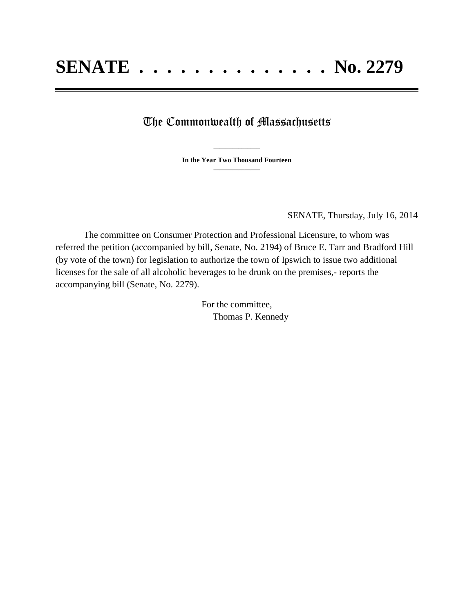## The Commonwealth of Massachusetts

**\_\_\_\_\_\_\_\_\_\_\_\_\_\_\_ In the Year Two Thousand Fourteen \_\_\_\_\_\_\_\_\_\_\_\_\_\_\_**

SENATE, Thursday, July 16, 2014

The committee on Consumer Protection and Professional Licensure, to whom was referred the petition (accompanied by bill, Senate, No. 2194) of Bruce E. Tarr and Bradford Hill (by vote of the town) for legislation to authorize the town of Ipswich to issue two additional licenses for the sale of all alcoholic beverages to be drunk on the premises,- reports the accompanying bill (Senate, No. 2279).

> For the committee, Thomas P. Kennedy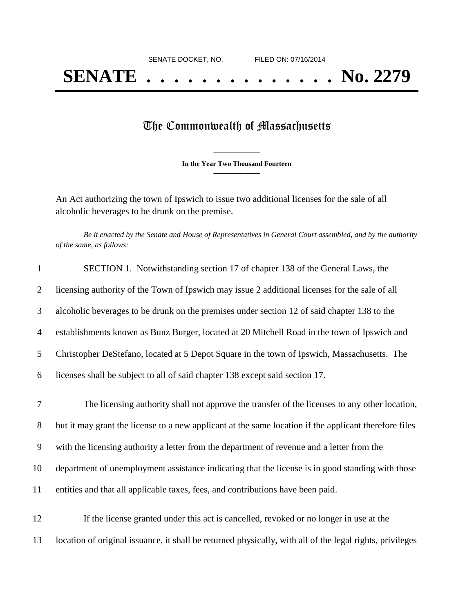## The Commonwealth of Massachusetts

**\_\_\_\_\_\_\_\_\_\_\_\_\_\_\_ In the Year Two Thousand Fourteen \_\_\_\_\_\_\_\_\_\_\_\_\_\_\_**

An Act authorizing the town of Ipswich to issue two additional licenses for the sale of all alcoholic beverages to be drunk on the premise.

*Be it enacted by the Senate and House of Representatives in General Court assembled, and by the authority of the same, as follows:*

| $\mathbf{1}$   | SECTION 1. Notwithstanding section 17 of chapter 138 of the General Laws, the                            |
|----------------|----------------------------------------------------------------------------------------------------------|
| 2              | licensing authority of the Town of Ipswich may issue 2 additional licenses for the sale of all           |
| 3              | alcoholic beverages to be drunk on the premises under section 12 of said chapter 138 to the              |
| $\overline{4}$ | establishments known as Bunz Burger, located at 20 Mitchell Road in the town of Ipswich and              |
| 5              | Christopher DeStefano, located at 5 Depot Square in the town of Ipswich, Massachusetts. The              |
| 6              | licenses shall be subject to all of said chapter 138 except said section 17.                             |
| 7              | The licensing authority shall not approve the transfer of the licenses to any other location,            |
| 8              | but it may grant the license to a new applicant at the same location if the applicant therefore files    |
| 9              | with the licensing authority a letter from the department of revenue and a letter from the               |
| 10             | department of unemployment assistance indicating that the license is in good standing with those         |
| 11             | entities and that all applicable taxes, fees, and contributions have been paid.                          |
| 12             | If the license granted under this act is cancelled, revoked or no longer in use at the                   |
| 13             | location of original issuance, it shall be returned physically, with all of the legal rights, privileges |